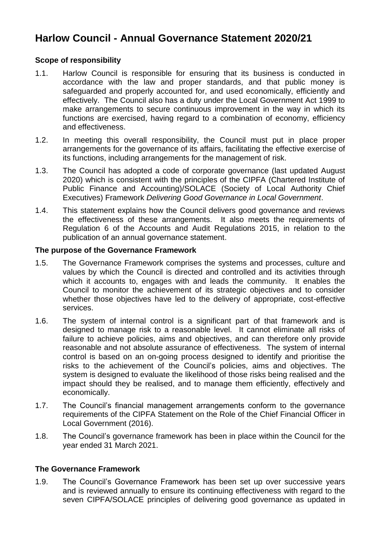# **Harlow Council - Annual Governance Statement 2020/21**

### **Scope of responsibility**

- 1.1. Harlow Council is responsible for ensuring that its business is conducted in accordance with the law and proper standards, and that public money is safeguarded and properly accounted for, and used economically, efficiently and effectively. The Council also has a duty under the Local Government Act 1999 to make arrangements to secure continuous improvement in the way in which its functions are exercised, having regard to a combination of economy, efficiency and effectiveness.
- 1.2. In meeting this overall responsibility, the Council must put in place proper arrangements for the governance of its affairs, facilitating the effective exercise of its functions, including arrangements for the management of risk.
- 1.3. The Council has adopted a code of corporate governance (last updated August 2020) which is consistent with the principles of the CIPFA (Chartered Institute of Public Finance and Accounting)/SOLACE (Society of Local Authority Chief Executives) Framework *Delivering Good Governance in Local Government*.
- 1.4. This statement explains how the Council delivers good governance and reviews the effectiveness of these arrangements. It also meets the requirements of Regulation 6 of the Accounts and Audit Regulations 2015, in relation to the publication of an annual governance statement.

### **The purpose of the Governance Framework**

- 1.5. The Governance Framework comprises the systems and processes, culture and values by which the Council is directed and controlled and its activities through which it accounts to, engages with and leads the community. It enables the Council to monitor the achievement of its strategic objectives and to consider whether those objectives have led to the delivery of appropriate, cost-effective services.
- 1.6. The system of internal control is a significant part of that framework and is designed to manage risk to a reasonable level. It cannot eliminate all risks of failure to achieve policies, aims and objectives, and can therefore only provide reasonable and not absolute assurance of effectiveness. The system of internal control is based on an on-going process designed to identify and prioritise the risks to the achievement of the Council's policies, aims and objectives. The system is designed to evaluate the likelihood of those risks being realised and the impact should they be realised, and to manage them efficiently, effectively and economically.
- 1.7. The Council's financial management arrangements conform to the governance requirements of the CIPFA Statement on the Role of the Chief Financial Officer in Local Government (2016).
- 1.8. The Council's governance framework has been in place within the Council for the year ended 31 March 2021.

### **The Governance Framework**

1.9. The Council's Governance Framework has been set up over successive years and is reviewed annually to ensure its continuing effectiveness with regard to the seven CIPFA/SOLACE principles of delivering good governance as updated in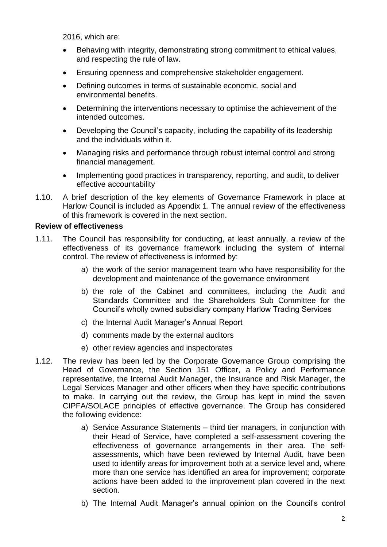2016, which are:

- Behaving with integrity, demonstrating strong commitment to ethical values, and respecting the rule of law.
- Ensuring openness and comprehensive stakeholder engagement.
- Defining outcomes in terms of sustainable economic, social and environmental benefits.
- Determining the interventions necessary to optimise the achievement of the intended outcomes.
- Developing the Council's capacity, including the capability of its leadership and the individuals within it.
- Managing risks and performance through robust internal control and strong financial management.
- Implementing good practices in transparency, reporting, and audit, to deliver effective accountability
- 1.10. A brief description of the key elements of Governance Framework in place at Harlow Council is included as Appendix 1. The annual review of the effectiveness of this framework is covered in the next section.

### **Review of effectiveness**

- 1.11. The Council has responsibility for conducting, at least annually, a review of the effectiveness of its governance framework including the system of internal control. The review of effectiveness is informed by:
	- a) the work of the senior management team who have responsibility for the development and maintenance of the governance environment
	- b) the role of the Cabinet and committees, including the Audit and Standards Committee and the Shareholders Sub Committee for the Council's wholly owned subsidiary company Harlow Trading Services
	- c) the Internal Audit Manager's Annual Report
	- d) comments made by the external auditors
	- e) other review agencies and inspectorates
- 1.12. The review has been led by the Corporate Governance Group comprising the Head of Governance, the Section 151 Officer, a Policy and Performance representative, the Internal Audit Manager, the Insurance and Risk Manager, the Legal Services Manager and other officers when they have specific contributions to make. In carrying out the review, the Group has kept in mind the seven CIPFA/SOLACE principles of effective governance. The Group has considered the following evidence:
	- a) Service Assurance Statements third tier managers, in conjunction with their Head of Service, have completed a self-assessment covering the effectiveness of governance arrangements in their area. The selfassessments, which have been reviewed by Internal Audit, have been used to identify areas for improvement both at a service level and, where more than one service has identified an area for improvement; corporate actions have been added to the improvement plan covered in the next section.
	- b) The Internal Audit Manager's annual opinion on the Council's control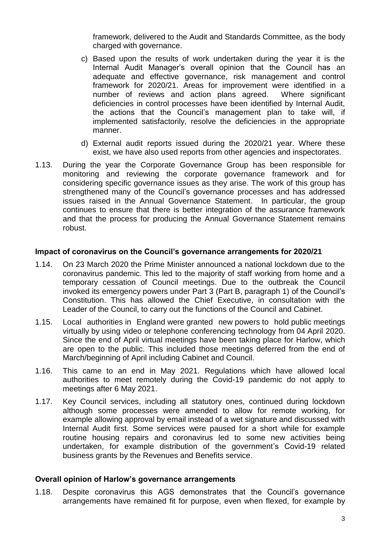framework, delivered to the Audit and Standards Committee, as the body charged with governance.

- c) Based upon the results of work undertaken during the year it is the Internal Audit Manager's overall opinion that the Council has an adequate and effective governance, risk management and control framework for 2020/21. Areas for improvement were identified in a number of reviews and action plans agreed. Where significant deficiencies in control processes have been identified by Internal Audit, the actions that the Council's management plan to take will, if implemented satisfactorily, resolve the deficiencies in the appropriate manner.
- d) External audit reports issued during the 2020/21 year. Where these exist, we have also used reports from other agencies and inspectorates.
- 1.13. During the year the Corporate Governance Group has been responsible for monitoring and reviewing the corporate governance framework and for considering specific governance issues as they arise. The work of this group has strengthened many of the Council's governance processes and has addressed issues raised in the Annual Governance Statement. In particular, the group continues to ensure that there is better integration of the assurance framework and that the process for producing the Annual Governance Statement remains robust.

#### **Impact of coronavirus on the Council's governance arrangements for 2020/21**

- 1.14. On 23 March 2020 the Prime Minister announced a national lockdown due to the coronavirus pandemic. This led to the majority of staff working from home and a temporary cessation of Council meetings. Due to the outbreak the Council invoked its emergency powers under Part 3 (Part B, paragraph 1) of the Council's Constitution. This has allowed the Chief Executive, in consultation with the Leader of the Council, to carry out the functions of the Council and Cabinet.
- 1.15. Local authorities in England were granted new powers to hold public meetings virtually by using video or telephone conferencing technology from 04 April 2020. Since the end of April virtual meetings have been taking place for Harlow, which are open to the public. This included those meetings deferred from the end of March/beginning of April including Cabinet and Council.
- 1.16. This came to an end in May 2021. Regulations which have allowed local authorities to meet remotely during the Covid-19 pandemic do not apply to meetings after 6 May 2021.
- 1.17. Key Council services, including all statutory ones, continued during lockdown although some processes were amended to allow for remote working, for example allowing approval by email instead of a wet signature and discussed with Internal Audit first. Some services were paused for a short while for example routine housing repairs and coronavirus led to some new activities being undertaken, for example distribution of the government's Covid-19 related business grants by the Revenues and Benefits service.

#### **Overall opinion of Harlow's governance arrangements**

1.18. Despite coronavirus this AGS demonstrates that the Council's governance arrangements have remained fit for purpose, even when flexed, for example by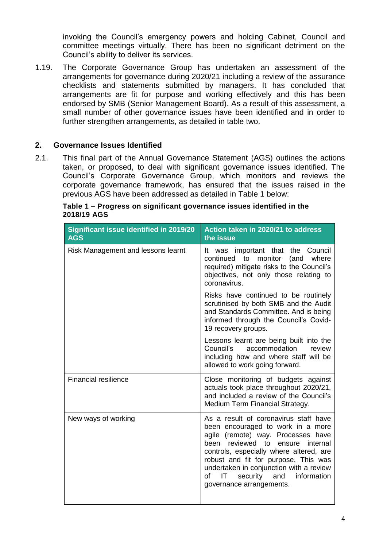invoking the Council's emergency powers and holding Cabinet, Council and committee meetings virtually. There has been no significant detriment on the Council's ability to deliver its services.

1.19. The Corporate Governance Group has undertaken an assessment of the arrangements for governance during 2020/21 including a review of the assurance checklists and statements submitted by managers. It has concluded that arrangements are fit for purpose and working effectively and this has been endorsed by SMB (Senior Management Board). As a result of this assessment, a small number of other governance issues have been identified and in order to further strengthen arrangements, as detailed in table two.

## **2. Governance Issues Identified**

2.1. This final part of the Annual Governance Statement (AGS) outlines the actions taken, or proposed, to deal with significant governance issues identified. The Council's Corporate Governance Group, which monitors and reviews the corporate governance framework, has ensured that the issues raised in the previous AGS have been addressed as detailed in Table 1 below:

| <b>Significant issue identified in 2019/20</b><br><b>AGS</b> | Action taken in 2020/21 to address<br>the issue                                                                                                                                                                                                                                                                                                                     |  |  |  |  |
|--------------------------------------------------------------|---------------------------------------------------------------------------------------------------------------------------------------------------------------------------------------------------------------------------------------------------------------------------------------------------------------------------------------------------------------------|--|--|--|--|
| Risk Management and lessons learnt                           | It was important that the Council<br>to<br>monitor<br>continued<br>(and<br>where<br>required) mitigate risks to the Council's<br>objectives, not only those relating to<br>coronavirus.                                                                                                                                                                             |  |  |  |  |
|                                                              | Risks have continued to be routinely<br>scrutinised by both SMB and the Audit<br>and Standards Committee. And is being<br>informed through the Council's Covid-<br>19 recovery groups.                                                                                                                                                                              |  |  |  |  |
|                                                              | Lessons learnt are being built into the<br>accommodation<br>Council's<br>review<br>including how and where staff will be<br>allowed to work going forward.                                                                                                                                                                                                          |  |  |  |  |
| <b>Financial resilience</b>                                  | Close monitoring of budgets against<br>actuals took place throughout 2020/21,<br>and included a review of the Council's<br>Medium Term Financial Strategy.                                                                                                                                                                                                          |  |  |  |  |
| New ways of working                                          | As a result of coronavirus staff have<br>been encouraged to work in a more<br>agile (remote) way. Processes have<br>been reviewed to<br>ensure<br>internal<br>controls, especially where altered, are<br>robust and fit for purpose. This was<br>undertaken in conjunction with a review<br>information<br>IT.<br>security<br>and<br>оf<br>governance arrangements. |  |  |  |  |

**Table 1 – Progress on significant governance issues identified in the 2018/19 AGS**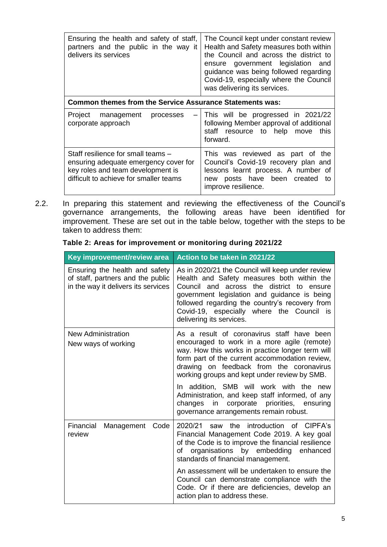| Ensuring the health and safety of staff,<br>partners and the public in the way it<br>delivers its services                                                 | The Council kept under constant review<br>Health and Safety measures both within<br>the Council and across the district to<br>ensure government legislation and<br>guidance was being followed regarding<br>Covid-19, especially where the Council<br>was delivering its services. |  |  |
|------------------------------------------------------------------------------------------------------------------------------------------------------------|------------------------------------------------------------------------------------------------------------------------------------------------------------------------------------------------------------------------------------------------------------------------------------|--|--|
| <b>Common themes from the Service Assurance Statements was:</b>                                                                                            |                                                                                                                                                                                                                                                                                    |  |  |
| Project management<br>processes<br>corporate approach                                                                                                      | This will be progressed in 2021/22<br>following Member approval of additional<br>staff resource to help move<br>this<br>forward.                                                                                                                                                   |  |  |
| Staff resilience for small teams -<br>ensuring adequate emergency cover for<br>key roles and team development is<br>difficult to achieve for smaller teams | This was reviewed as part of the<br>Council's Covid-19 recovery plan and<br>lessons learnt process. A number of<br>posts have been created<br>new<br>to<br>improve resilience.                                                                                                     |  |  |

2.2. In preparing this statement and reviewing the effectiveness of the Council's governance arrangements, the following areas have been identified for improvement. These are set out in the table below, together with the steps to be taken to address them:

|  |  |  |  |  | Table 2: Areas for improvement or monitoring during 2021/22 |  |
|--|--|--|--|--|-------------------------------------------------------------|--|
|  |  |  |  |  |                                                             |  |

| Key improvement/review area                                                                                | Action to be taken in 2021/22                                                                                                                                                                                                                                                                                                |  |  |  |
|------------------------------------------------------------------------------------------------------------|------------------------------------------------------------------------------------------------------------------------------------------------------------------------------------------------------------------------------------------------------------------------------------------------------------------------------|--|--|--|
| Ensuring the health and safety<br>of staff, partners and the public<br>in the way it delivers its services | As in 2020/21 the Council will keep under review<br>Health and Safety measures both within the<br>across the district to<br>Council and<br>ensure<br>government legislation and guidance is being<br>followed regarding the country's recovery from<br>Covid-19, especially where the Council is<br>delivering its services. |  |  |  |
| <b>New Administration</b><br>New ways of working                                                           | As a result of coronavirus staff have been<br>encouraged to work in a more agile (remote)                                                                                                                                                                                                                                    |  |  |  |
|                                                                                                            | way. How this works in practice longer term will<br>form part of the current accommodation review,<br>drawing on feedback from the coronavirus<br>working groups and kept under review by SMB.                                                                                                                               |  |  |  |
|                                                                                                            | In addition, SMB will work with the new<br>Administration, and keep staff informed, of any<br>corporate priorities, ensuring<br>changes<br>in<br>governance arrangements remain robust.                                                                                                                                      |  |  |  |
| Financial<br>Code<br>Management<br>review                                                                  | introduction of CIPFA's<br>2020/21<br>the<br>saw<br>Financial Management Code 2019. A key goal<br>of the Code is to improve the financial resilience<br>organisations by embedding<br>enhanced<br>οf<br>standards of financial management.                                                                                   |  |  |  |
|                                                                                                            | An assessment will be undertaken to ensure the<br>Council can demonstrate compliance with the<br>Code. Or if there are deficiencies, develop an<br>action plan to address these.                                                                                                                                             |  |  |  |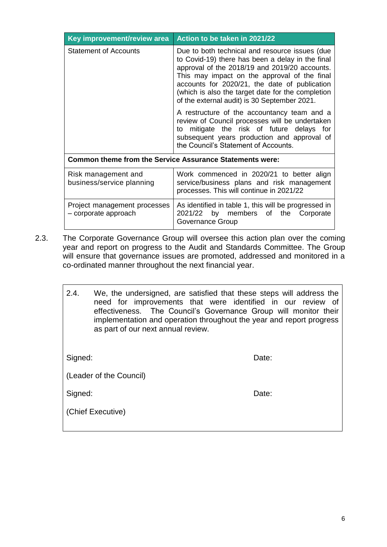| Key improvement/review area                                     | Action to be taken in 2021/22                                                                                                                                                                                                                                                                                                                             |  |  |  |
|-----------------------------------------------------------------|-----------------------------------------------------------------------------------------------------------------------------------------------------------------------------------------------------------------------------------------------------------------------------------------------------------------------------------------------------------|--|--|--|
| <b>Statement of Accounts</b>                                    | Due to both technical and resource issues (due<br>to Covid-19) there has been a delay in the final<br>approval of the 2018/19 and 2019/20 accounts.<br>This may impact on the approval of the final<br>accounts for 2020/21, the date of publication<br>(which is also the target date for the completion<br>of the external audit) is 30 September 2021. |  |  |  |
|                                                                 | A restructure of the accountancy team and a<br>review of Council processes will be undertaken<br>to mitigate the risk of future delays for<br>subsequent years production and approval of<br>the Council's Statement of Accounts.                                                                                                                         |  |  |  |
| <b>Common theme from the Service Assurance Statements were:</b> |                                                                                                                                                                                                                                                                                                                                                           |  |  |  |
| Risk management and<br>business/service planning                | Work commenced in 2020/21 to better align<br>service/business plans and risk management<br>processes. This will continue in 2021/22                                                                                                                                                                                                                       |  |  |  |
| Project management processes<br>- corporate approach            | As identified in table 1, this will be progressed in<br>2021/22 by members of the Corporate<br>Governance Group                                                                                                                                                                                                                                           |  |  |  |

2.3. The Corporate Governance Group will oversee this action plan over the coming year and report on progress to the Audit and Standards Committee. The Group will ensure that governance issues are promoted, addressed and monitored in a co-ordinated manner throughout the next financial year.

| 2.4.    | We, the undersigned, are satisfied that these steps will address the<br>need for improvements that were identified in our review of<br>effectiveness. The Council's Governance Group will monitor their<br>implementation and operation throughout the year and report progress<br>as part of our next annual review. |       |
|---------|-----------------------------------------------------------------------------------------------------------------------------------------------------------------------------------------------------------------------------------------------------------------------------------------------------------------------|-------|
| Signed: |                                                                                                                                                                                                                                                                                                                       | Date: |
|         | (Leader of the Council)                                                                                                                                                                                                                                                                                               |       |
| Signed: |                                                                                                                                                                                                                                                                                                                       | Date: |
|         | (Chief Executive)                                                                                                                                                                                                                                                                                                     |       |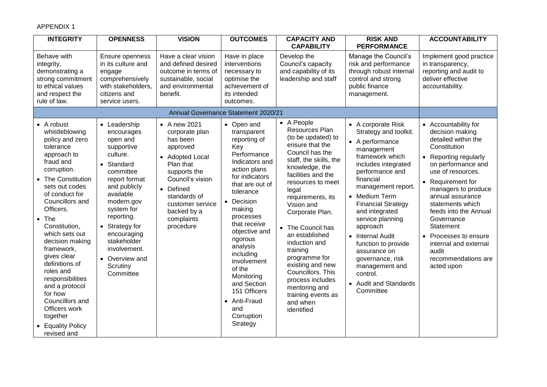### APPENDIX 1

| <b>INTEGRITY</b>                                                                                                                                                                                                                                                                                                                                                                                                                                                                       | <b>OPENNESS</b>                                                                                                                                                                                                                                                                            | <b>VISION</b>                                                                                                                                                                                                         | <b>OUTCOMES</b>                                                                                                                                                                                                                                                                                                                                                                       | <b>CAPACITY AND</b><br><b>CAPABILITY</b>                                                                                                                                                                                                                                                                                                                                                                                                                          | <b>RISK AND</b><br><b>PERFORMANCE</b>                                                                                                                                                                                                                                                                                                                                                                                           | <b>ACCOUNTABILITY</b>                                                                                                                                                                                                                                                                                                                                                                    |
|----------------------------------------------------------------------------------------------------------------------------------------------------------------------------------------------------------------------------------------------------------------------------------------------------------------------------------------------------------------------------------------------------------------------------------------------------------------------------------------|--------------------------------------------------------------------------------------------------------------------------------------------------------------------------------------------------------------------------------------------------------------------------------------------|-----------------------------------------------------------------------------------------------------------------------------------------------------------------------------------------------------------------------|---------------------------------------------------------------------------------------------------------------------------------------------------------------------------------------------------------------------------------------------------------------------------------------------------------------------------------------------------------------------------------------|-------------------------------------------------------------------------------------------------------------------------------------------------------------------------------------------------------------------------------------------------------------------------------------------------------------------------------------------------------------------------------------------------------------------------------------------------------------------|---------------------------------------------------------------------------------------------------------------------------------------------------------------------------------------------------------------------------------------------------------------------------------------------------------------------------------------------------------------------------------------------------------------------------------|------------------------------------------------------------------------------------------------------------------------------------------------------------------------------------------------------------------------------------------------------------------------------------------------------------------------------------------------------------------------------------------|
| Behave with<br>integrity,<br>demonstrating a<br>strong commitment<br>to ethical values<br>and respect the<br>rule of law.                                                                                                                                                                                                                                                                                                                                                              | Ensure openness<br>in its culture and<br>engage<br>comprehensively<br>with stakeholders,<br>citizens and<br>service users.                                                                                                                                                                 | Have a clear vision<br>and defined desired<br>outcome in terms of<br>sustainable, social<br>and environmental<br>benefit.                                                                                             | Have in place<br>interventions<br>necessary to<br>optimise the<br>achievement of<br>its intended<br>outcomes.                                                                                                                                                                                                                                                                         | Develop the<br>Council's capacity<br>and capability of its<br>leadership and staff                                                                                                                                                                                                                                                                                                                                                                                | Manage the Council's<br>risk and performance<br>through robust internal<br>control and strong<br>public finance<br>management.                                                                                                                                                                                                                                                                                                  | Implement good practice<br>in transparency,<br>reporting and audit to<br>deliver effective<br>accountability.                                                                                                                                                                                                                                                                            |
|                                                                                                                                                                                                                                                                                                                                                                                                                                                                                        |                                                                                                                                                                                                                                                                                            |                                                                                                                                                                                                                       | Annual Governance Statement 2020/21                                                                                                                                                                                                                                                                                                                                                   |                                                                                                                                                                                                                                                                                                                                                                                                                                                                   |                                                                                                                                                                                                                                                                                                                                                                                                                                 |                                                                                                                                                                                                                                                                                                                                                                                          |
| • A robust<br>whistleblowing<br>policy and zero<br>tolerance<br>approach to<br>fraud and<br>corruption.<br><b>The Constitution</b><br>sets out codes<br>of conduct for<br>Councillors and<br>Officers.<br>The<br>$\bullet$<br>Constitution,<br>which sets out<br>decision making<br>framework,<br>gives clear<br>definitions of<br>roles and<br>responsibilities<br>and a protocol<br>for how<br>Councillors and<br>Officers work<br>together<br><b>Equality Policy</b><br>revised and | • Leadership<br>encourages<br>open and<br>supportive<br>culture.<br>Standard<br>committee<br>report format<br>and publicly<br>available<br>modern.gov<br>system for<br>reporting.<br>Strategy for<br>encouraging<br>stakeholder<br>involvement.<br>• Overview and<br>Scrutiny<br>Committee | • A new 2021<br>corporate plan<br>has been<br>approved<br>• Adopted Local<br>Plan that<br>supports the<br>Council's vision<br>• Defined<br>standards of<br>customer service<br>backed by a<br>complaints<br>procedure | • Open and<br>transparent<br>reporting of<br>Key<br>Performance<br>Indicators and<br>action plans<br>for indicators<br>that are out of<br>tolerance<br>• Decision<br>making<br>processes<br>that receive<br>objective and<br>rigorous<br>analysis<br>including<br>involvement<br>of the<br>Monitoring<br>and Section<br>151 Officers<br>• Anti-Fraud<br>and<br>Corruption<br>Strategy | • A People<br>Resources Plan<br>(to be updated) to<br>ensure that the<br>Council has the<br>staff, the skills, the<br>knowledge, the<br>facilities and the<br>resources to meet<br>legal<br>requirements, its<br>Vision and<br>Corporate Plan.<br>• The Council has<br>an established<br>induction and<br>training<br>programme for<br>existing and new<br>Councillors. This<br>process includes<br>mentoring and<br>training events as<br>and when<br>identified | • A corporate Risk<br>Strategy and toolkit.<br>• A performance<br>management<br>framework which<br>includes integrated<br>performance and<br>financial<br>management report.<br>• Medium Term<br><b>Financial Strategy</b><br>and integrated<br>service planning<br>approach<br>• Internal Audit<br>function to provide<br>assurance on<br>governance, risk<br>management and<br>control.<br>• Audit and Standards<br>Committee | • Accountability for<br>decision making<br>detailed within the<br>Constitution<br>Reporting regularly<br>on performance and<br>use of resources.<br>• Requirement for<br>managers to produce<br>annual assurance<br>statements which<br>feeds into the Annual<br>Governance<br>Statement<br>• Processes to ensure<br>internal and external<br>audit<br>recommendations are<br>acted upon |